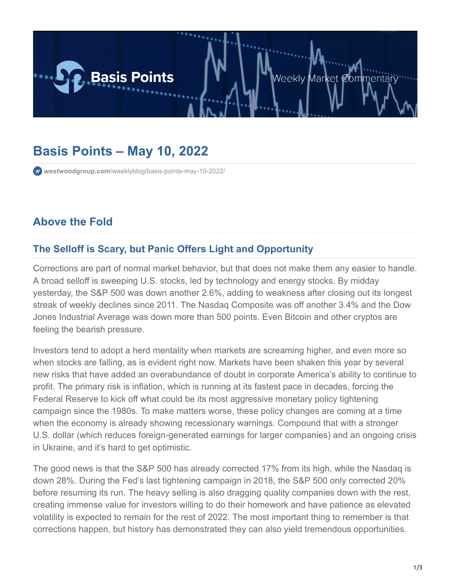

# **Basis Points – May 10, 2022**

**westwoodgroup.com**[/weeklyblog/basis-points-may-10-2022/](https://westwoodgroup.com/weeklyblog/basis-points-may-10-2022/)

### **Above the Fold**

#### **The Selloff is Scary, but Panic Offers Light and Opportunity**

Corrections are part of normal market behavior, but that does not make them any easier to handle. A broad selloff is sweeping U.S. stocks, led by technology and energy stocks. By midday yesterday, the S&P 500 was down another 2.6%, adding to weakness after closing out its longest streak of weekly declines since 2011. The Nasdaq Composite was off another 3.4% and the Dow Jones Industrial Average was down more than 500 points. Even Bitcoin and other cryptos are feeling the bearish pressure.

Investors tend to adopt a herd mentality when markets are screaming higher, and even more so when stocks are falling, as is evident right now. Markets have been shaken this year by several new risks that have added an overabundance of doubt in corporate America's ability to continue to profit. The primary risk is inflation, which is running at its fastest pace in decades, forcing the Federal Reserve to kick off what could be its most aggressive monetary policy tightening campaign since the 1980s. To make matters worse, these policy changes are coming at a time when the economy is already showing recessionary warnings. Compound that with a stronger U.S. dollar (which reduces foreign-generated earnings for larger companies) and an ongoing crisis in Ukraine, and it's hard to get optimistic.

The good news is that the S&P 500 has already corrected 17% from its high, while the Nasdaq is down 28%. During the Fed's last tightening campaign in 2018, the S&P 500 only corrected 20% before resuming its run. The heavy selling is also dragging quality companies down with the rest, creating immense value for investors willing to do their homework and have patience as elevated volatility is expected to remain for the rest of 2022. The most important thing to remember is that corrections happen, but history has demonstrated they can also yield tremendous opportunities.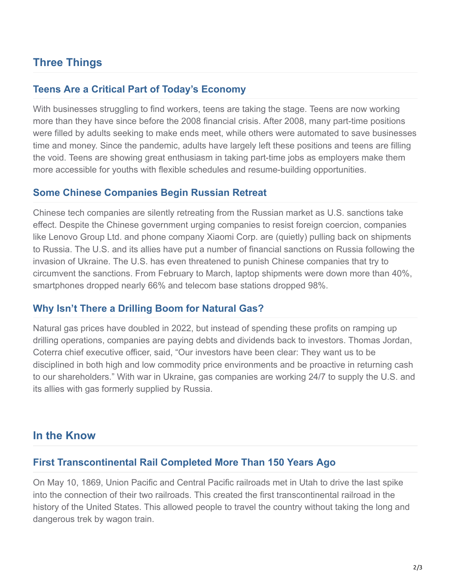## **Three Things**

#### **Teens Are a Critical Part of Today's Economy**

With businesses struggling to find workers, teens are taking the stage. Teens are now working more than they have since before the 2008 financial crisis. After 2008, many part-time positions were filled by adults seeking to make ends meet, while others were automated to save businesses time and money. Since the pandemic, adults have largely left these positions and teens are filling the void. Teens are showing great enthusiasm in taking part-time jobs as employers make them more accessible for youths with flexible schedules and resume-building opportunities.

#### **Some Chinese Companies Begin Russian Retreat**

Chinese tech companies are silently retreating from the Russian market as U.S. sanctions take effect. Despite the Chinese government urging companies to resist foreign coercion, companies like Lenovo Group Ltd. and phone company Xiaomi Corp. are (quietly) pulling back on shipments to Russia. The U.S. and its allies have put a number of financial sanctions on Russia following the invasion of Ukraine. The U.S. has even threatened to punish Chinese companies that try to circumvent the sanctions. From February to March, laptop shipments were down more than 40%, smartphones dropped nearly 66% and telecom base stations dropped 98%.

#### **Why Isn't There a Drilling Boom for Natural Gas?**

Natural gas prices have doubled in 2022, but instead of spending these profits on ramping up drilling operations, companies are paying debts and dividends back to investors. Thomas Jordan, Coterra chief executive officer, said, "Our investors have been clear: They want us to be disciplined in both high and low commodity price environments and be proactive in returning cash to our shareholders." With war in Ukraine, gas companies are working 24/7 to supply the U.S. and its allies with gas formerly supplied by Russia.

### **In the Know**

#### **First Transcontinental Rail Completed More Than 150 Years Ago**

On May 10, 1869, Union Pacific and Central Pacific railroads met in Utah to drive the last spike into the connection of their two railroads. This created the first transcontinental railroad in the history of the United States. This allowed people to travel the country without taking the long and dangerous trek by wagon train.